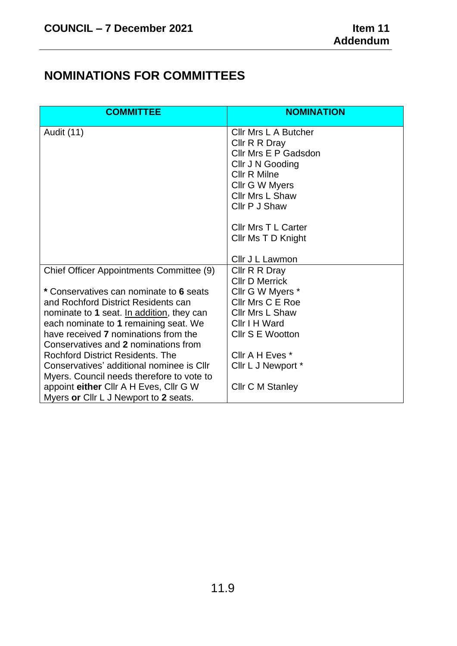## **NOMINATIONS FOR COMMITTEES**

| <b>COMMITTEE</b>                                                                       | <b>NOMINATION</b>                     |
|----------------------------------------------------------------------------------------|---------------------------------------|
| <b>Audit (11)</b>                                                                      | <b>CIIr Mrs L A Butcher</b>           |
|                                                                                        | Cllr R R Dray                         |
|                                                                                        | Cllr Mrs E P Gadsdon                  |
|                                                                                        | Cllr J N Gooding                      |
|                                                                                        | <b>Cllr R Milne</b><br>Cllr G W Myers |
|                                                                                        | Cllr Mrs L Shaw                       |
|                                                                                        | Cllr P J Shaw                         |
|                                                                                        |                                       |
|                                                                                        | <b>Cllr Mrs T L Carter</b>            |
|                                                                                        | Cllr Ms T D Knight                    |
|                                                                                        |                                       |
|                                                                                        | Cllr J L Lawmon                       |
| Chief Officer Appointments Committee (9)                                               | Cllr R R Dray                         |
|                                                                                        | <b>Cllr D Merrick</b>                 |
| * Conservatives can nominate to 6 seats                                                | Cllr G W Myers *                      |
| and Rochford District Residents can                                                    | Cllr Mrs C E Roe                      |
| nominate to 1 seat. In addition, they can                                              | <b>CIIr Mrs L Shaw</b>                |
| each nominate to 1 remaining seat. We                                                  | Cllr I H Ward                         |
| have received 7 nominations from the                                                   | Cllr S E Wootton                      |
| Conservatives and 2 nominations from                                                   |                                       |
| Rochford District Residents, The                                                       | Cllr A H Eves *                       |
| Conservatives' additional nominee is Cllr<br>Myers. Council needs therefore to vote to | Cllr L J Newport *                    |
| appoint either Cllr A H Eves, Cllr G W                                                 | <b>Cllr C M Stanley</b>               |
| Myers or Cllr L J Newport to 2 seats.                                                  |                                       |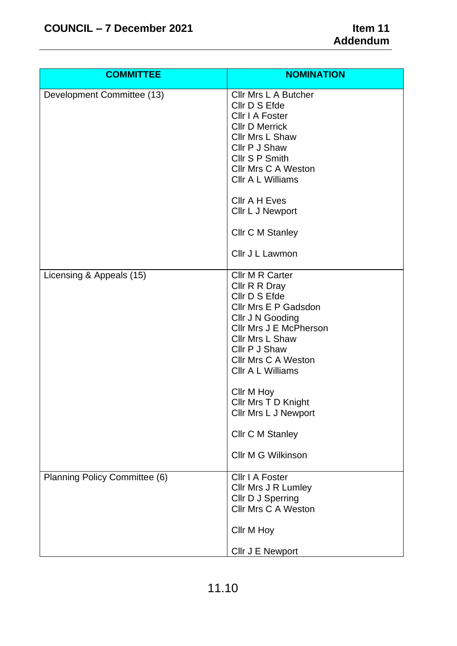| <b>COMMITTEE</b>              | <b>NOMINATION</b>                                                                                                                                                                                                                                                                                                                   |
|-------------------------------|-------------------------------------------------------------------------------------------------------------------------------------------------------------------------------------------------------------------------------------------------------------------------------------------------------------------------------------|
| Development Committee (13)    | Cllr Mrs L A Butcher<br>Cllr D S Efde<br>Cllr I A Foster<br><b>CIIr D Merrick</b><br>Cllr Mrs L Shaw<br>Cllr P J Shaw<br>Cllr S P Smith<br><b>CIIr Mrs C A Weston</b><br>Cllr A L Williams                                                                                                                                          |
|                               | <b>Cllr A H Eves</b><br>Cllr L J Newport                                                                                                                                                                                                                                                                                            |
|                               | <b>Cllr C M Stanley</b>                                                                                                                                                                                                                                                                                                             |
|                               | Cllr J L Lawmon                                                                                                                                                                                                                                                                                                                     |
| Licensing & Appeals (15)      | Cllr M R Carter<br>Cllr R R Dray<br>Cllr D S Efde<br>Cllr Mrs E P Gadsdon<br>Cllr J N Gooding<br>Cllr Mrs J E McPherson<br>Cllr Mrs L Shaw<br>Cllr P J Shaw<br>Cllr Mrs C A Weston<br>CIIr A L Williams<br>Cllr M Hoy<br>Cllr Mrs T D Knight<br><b>Cllr Mrs L J Newport</b><br><b>Cllr C M Stanley</b><br><b>CIIr M G Wilkinson</b> |
| Planning Policy Committee (6) | Cllr I A Foster<br>Cllr Mrs J R Lumley<br>Cllr D J Sperring<br><b>Cllr Mrs C A Weston</b>                                                                                                                                                                                                                                           |
|                               | Cllr M Hoy<br>Cllr J E Newport                                                                                                                                                                                                                                                                                                      |